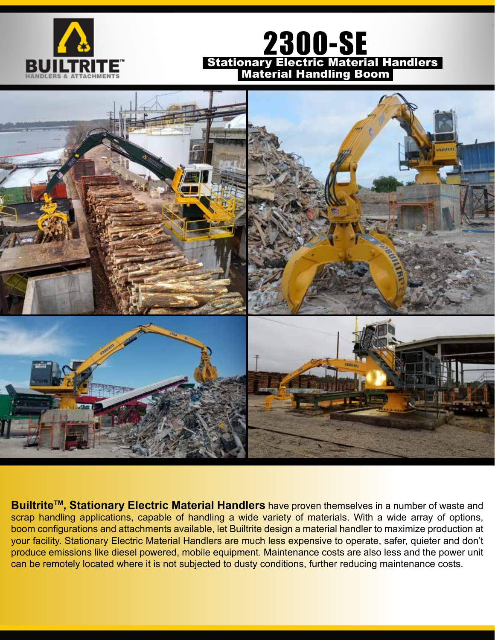

# 2300-SE Stationary Electric Material Handlers Material Handling Boom



Builtrite<sup>™</sup>, Stationary Electric Material Handlers have proven themselves in a number of waste and scrap handling applications, capable of handling a wide variety of materials. With a wide array of options, boom configurations and attachments available, let Builtrite design a material handler to maximize production at your facility. Stationary Electric Material Handlers are much less expensive to operate, safer, quieter and don't produce emissions like diesel powered, mobile equipment. Maintenance costs are also less and the power unit can be remotely located where it is not subjected to dusty conditions, further reducing maintenance costs.